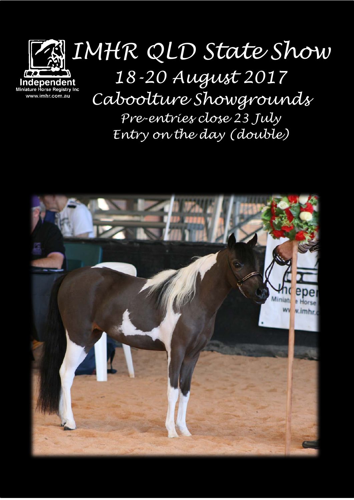

*Pre-entries close 23 July Entry on the day (double)*

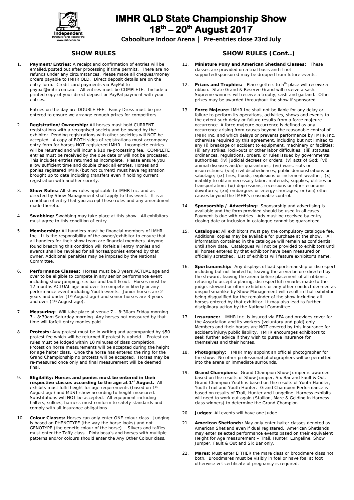

**Caboolture Indoor Arena | Pre-entries close 23rd July**

#### **SHOW RULES**

1. **Payment/Entries:** A receipt and confirmation of entries will be emailed/posted out after processing if time permits. There are no refunds under any circumstances. Please make all cheques/money orders payable to IMHR QLD. Direct deposit details are on the entry form. Credit card payments via PayPal to paypal@imhr.com.au. All entries must be COMPLETE. Include a printed copy of your direct deposit or PayPal payment with your entries.

Entries on the day are DOUBLE FEE. Fancy Dress must be preentered to ensure we arrange enough prizes for competitors.

- 2. **Registration/Ownership:** All horses must hold CURRENT registrations with a recognised society and be owned by the exhibitor. Pending registrations with other societies will NOT be accepted. A copy of BOTH sides of registrations must accompany entry form for horses NOT registered IMHR. Incomplete entries will be returned and will incur a \$10 re-processing fee. COMPLETE entries must be received by the due date or will not be processed. This includes entries returned as incomplete. Please ensure you allow sufficient time and double check all entries. Horses and ponies registered IMHR (but not current) must have registration brought up to date including transfers even if holding current registration with another society.
- 3. **Show Rules:** All show rules applicable to IMHR Inc. and as directed by Show Management shall apply to this event. It is a condition of entry that you accept these rules and any amendment made thereto.
- 4. **Swabbing:** Swabbing may take place at this show. All exhibitors must agree to this condition of entry.
- 5. **Membership:** All handlers must be financial members of IMHR Inc. It is the responsibility of the owner/exhibitor to ensure that all handlers for their show team are financial members. Anyone found breaching this condition will forfeit all entry monies and awards shall be revoked for all horses/ponies entered by that owner. Additional penalties may be imposed by the National Committee.
- 6. **Performance Classes:** Horses must be 3 years ACTUAL age and over to be eligible to compete in any senior performance event including show jumping, six bar and fault & out. Horses must be 12 months ACTUAL age and over to compete in liberty or any performance event including Youth events. Junior horses are 2 years and under (1st August age) and senior horses are 3 years and over (1<sup>st</sup> August age).
- 7. **Measuring:** Will take place at venue 7 8:30am Friday morning. 7 - 8:30am Saturday morning. Any horses not measured by that time will forfeit entry monies paid.
- 8. **Protests:** Any protest must be in writing and accompanied by \$50 protest fee which will be returned if protest is upheld. Protest on rules must be lodged within 10 minutes of class completion. Protest on horse measurements will be accepted during the height for age halter class. Once the horse has entered the ring for the Grand Championship no protests will be accepted. Horses may be re-measured once only and final measurement will be deemed final.
- 9. **Eligibility: Horses and ponies must be entered in their respective classes according to the age at 1st August.** All exhibits must fulfil height for age requirements (based on 1st August age) and MUST show according to height measured. Substitutions will NOT be accepted. All equipment including halters, sulkies, harness must conform to safety standards and comply with all insurance obligations.
- 10. **Colour Classes:** Horses can only enter ONE colour class. Judging is based on PHENOTYPE (the way the horse looks) and not GENOTYPE (the genetic colour of the horse). Silvers and taffies must enter the Taffy class. Pintaloosa's and horses with multiple patterns and/or colours should enter the Any Other Colour class.

#### **SHOW RULES (Cont..)**

- 11. **Miniature Pony and American Shetland Classes:** These classes are provided on a trial basis and if not supported/sponsored may be dropped from future events.
- 12. **Prizes and Trophies:** Place-getters to 5<sup>th</sup> place will receive a ribbon. State Grand & Reserve Grand will receive a sash. Supreme winners will receive a trophy, sash and garland. Other prizes may be awarded throughout the show if sponsored.
- 13. **Force Majeure:** IMHR Inc shall not be liable for any delay or failure to perform its operations, activities, shows and events to the extent such delay or failure results from a force majeure occurrence. A force majeure occurrence is defined as any occurrence arising from causes beyond the reasonable control of IMHR Inc. and which delays or prevents performance by IMHR Inc. otherwise required by this agreement, including but not limited to any (i) breakage or accident to equipment, machinery or facilities; (ii) any strikes, lock-outs or other labor difficulties; (iii) statutes, ordinances, regulations, orders, or rules issued by governmental authorities; (iv) judicial decrees or orders; (v) acts of God; (vi) animal diseases and/or quarantines; (vii) wars, riots or insurrections; (viii) civil disobediences, public demonstrations or sabotage; (ix) fires, floods, explosions or inclement weather; (x) inability to obtain necessary labor, materials, supplies, utilities or transportation; (xi) depressions, recessions or other economic downturns; (xii) embargoes or energy shortages; or (xiii) other causes beyond the IMHR's reasonable control.
- 14. **Sponsorship / Advertising:** Sponsorship and advertising is available and the form provided should be used in all cases. Payment is due with entries. Ads must be received by entry closing date or inclusion in catalogue cannot be guaranteed.
- Catalogue: All exhibitors must pay the compulsory catalogue fee. Additional copies may be available for purchase at the show. All information contained in the catalogue will remain as confidential until show date. Catalogues will not be provided to exhibitors until all horses entered by that exhibitor have been measured or officially scratched. List of exhibits will feature exhibitor's name.
- 16. **Sportsmanship:** Any displays of bad sportsmanship or disrespect including but not limited to, leaving the arena before directed by the steward, leaving the arena before placement of all ribbons, refusing to accept a placing, disrespectful remarks made to the judge, steward or other exhibitors or any other conduct deemed as unsportsmanlike by Show Management will result in that exhibitor being disqualified for the remainder of the show including all horses entered by that exhibitor. It may also lead to further disciplinary action by the National Committee.
- 17. **Insurance:** IMHR Inc. is insured via EFA and provides cover for the Association and its workers (voluntary and paid) only. Members and their horses are NOT covered by this insurance for accident/injury/public liability. IMHR encourages exhibitors to seek further advice if they wish to pursue insurance for themselves and their horses.
- 18. **Photography:** IMHR may appoint an official photographer for the show. No other professional photographers will be permitted into the arena or immediate surrounds.
- 19. **Grand Champions:** Grand Champion Show Jumper is awarded based on the results of Show Jumper, Six Bar and Fault & Out. Grand Champion Youth is based on the results of Youth Handler, Youth Trail and Youth Hunter. Grand Champion Performance is based on results of Trail, Hunter and Lungeline. Harness exhibits will need to work out again (Stallion, Mare & Gelding in Harness class winners) to determine the Grand Champion.
- 20. **Judges**: All events will have one judge.
- 21. **American Shetlands:** May only enter halter classes denoted as American Shetland even if dual registered. American Shetlands may enter selected performance events based on their equivalent Height for Age measurement – Trail, Hunter, Lungeline, Show Jumper, Fault & Out and Six Bar only.
- 22. **Mares:** Must enter EITHER the mare class or broodmare class not both. Broodmares must be visibly in foal or have foal at foot otherwise vet certificate of pregnancy is required.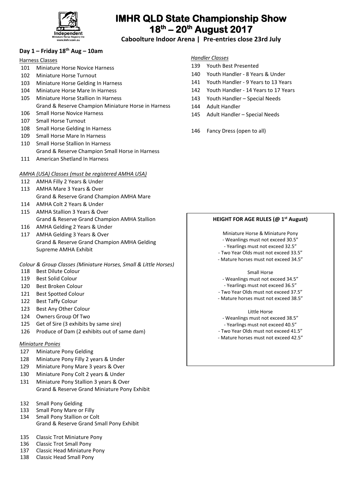

**Caboolture Indoor Arena | Pre-entries close 23rd July**

# **Day 1 – Friday 18th Aug – 10am**

## Harness Classes

- 101 Miniature Horse Novice Harness
- 102 Miniature Horse Turnout
- 103 Miniature Horse Gelding In Harness
- 104 Miniature Horse Mare In Harness
- 105 Miniature Horse Stallion In Harness Grand & Reserve Champion Miniature Horse in Harness
- 106 Small Horse Novice Harness
- 107 Small Horse Turnout
- 108 Small Horse Gelding In Harness
- 109 Small Horse Mare In Harness
- 110 Small Horse Stallion In Harness Grand & Reserve Champion Small Horse in Harness
- 111 American Shetland In Harness

# *AMHA (USA) Classes (must be registered AMHA USA)*

- 112 AMHA Filly 2 Years & Under
- 113 AMHA Mare 3 Years & Over Grand & Reserve Grand Champion AMHA Mare
- 114 AMHA Colt 2 Years & Under
- 115 AMHA Stallion 3 Years & Over Grand & Reserve Grand Champion AMHA Stallion
- 116 AMHA Gelding 2 Years & Under 117 AMHA Gelding 3 Years & Over Grand & Reserve Grand Champion AMHA Gelding Supreme AMHA Exhibit

*Colour & Group Classes (Miniature Horses, Small & Little Horses)*

- 118 Best Dilute Colour
- 119 Best Solid Colour
- 120 Best Broken Colour
- 121 Best Spotted Colour
- 122 Best Taffy Colour
- 123 Best Any Other Colour
- 124 Owners Group Of Two
- 125 Get of Sire (3 exhibits by same sire)
- 126 Produce of Dam (2 exhibits out of same dam)

## *Miniature Ponies*

- 127 Miniature Pony Gelding
- 128 Miniature Pony Filly 2 years & Under
- 129 Miniature Pony Mare 3 years & Over
- 130 Miniature Pony Colt 2 years & Under
- 131 Miniature Pony Stallion 3 years & Over Grand & Reserve Grand Miniature Pony Exhibit
- 132 Small Pony Gelding
- 133 Small Pony Mare or Filly
- 134 Small Pony Stallion or Colt Grand & Reserve Grand Small Pony Exhibit
- 135 Classic Trot Miniature Pony
- 136 Classic Trot Small Pony
- 137 Classic Head Miniature Pony
- 138 Classic Head Small Pony

# *Handler Classes*

- 139 Youth Best Presented
- 140 Youth Handler 8 Years & Under
- 141 Youth Handler 9 Years to 13 Years
- 142 Youth Handler 14 Years to 17 Years
- 143 Youth Handler Special Needs
- 144 Adult Handler
- 145 Adult Handler Special Needs
- 146 Fancy Dress (open to all)

# **HEIGHT FOR AGE RULES (@ 1st August)**

Miniature Horse & Miniature Pony

- Weanlings must not exceed 30.5"
- Yearlings must not exceed 32.5"
- Two Year Olds must not exceed 33.5"
- Mature horses must not exceed 34.5"

#### Small Horse

- Weanlings must not exceed 34.5"

- Yearlings must not exceed 36.5"
- Two Year Olds must not exceed 37.5"
- Mature horses must not exceed 38.5"

#### Little Horse

- Weanlings must not exceed 38.5"
- Yearlings must not exceed 40.5"
- Two Year Olds must not exceed 41.5"
- Mature horses must not exceed 42.5"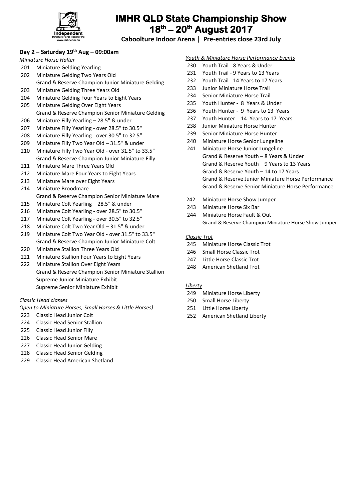

**Caboolture Indoor Arena | Pre-entries close 23rd July**

# **Day 2 – Saturday 19th Aug – 09:00am**

## *Miniature Horse Halter*

- Miniature Gelding Yearling
- Miniature Gelding Two Years Old
- Grand & Reserve Champion Junior Miniature Gelding
- Miniature Gelding Three Years Old
- Miniature Gelding Four Years to Eight Years
- Miniature Gelding Over Eight Years Grand & Reserve Champion Senior Miniature Gelding
- Miniature Filly Yearling 28.5" & under
- Miniature Filly Yearling over 28.5" to 30.5"
- Miniature Filly Yearling over 30.5" to 32.5"
- Miniature Filly Two Year Old 31.5" & under
- Miniature Filly Two Year Old over 31.5" to 33.5" Grand & Reserve Champion Junior Miniature Filly
- Miniature Mare Three Years Old
- Miniature Mare Four Years to Eight Years
- Miniature Mare over Eight Years
- Miniature Broodmare
- Grand & Reserve Champion Senior Miniature Mare
- Miniature Colt Yearling 28.5" & under
- Miniature Colt Yearling over 28.5" to 30.5"
- Miniature Colt Yearling over 30.5" to 32.5"
- Miniature Colt Two Year Old 31.5" & under
- Miniature Colt Two Year Old over 31.5" to 33.5" Grand & Reserve Champion Junior Miniature Colt
- Miniature Stallion Three Years Old
- Miniature Stallion Four Years to Eight Years
- Miniature Stallion Over Eight Years Grand & Reserve Champion Senior Miniature Stallion Supreme Junior Miniature Exhibit Supreme Senior Miniature Exhibit

# *Classic Head classes*

*Open to Miniature Horses, Small Horses & Little Horses)*

- Classic Head Junior Colt
- Classic Head Senior Stallion
- Classic Head Junior Filly
- Classic Head Senior Mare
- Classic Head Junior Gelding
- Classic Head Senior Gelding
- Classic Head American Shetland

#### *Youth & Miniature Horse Performance Events*

- Youth Trail 8 Years & Under
- Youth Trail 9 Years to 13 Years
- Youth Trail 14 Years to 17 Years
- Junior Miniature Horse Trail
- Senior Miniature Horse Trail
- Youth Hunter 8 Years & Under
- Youth Hunter 9 Years to 13 Years
- Youth Hunter 14 Years to 17 Years
- Junior Miniature Horse Hunter
- Senior Miniature Horse Hunter
- Miniature Horse Senior Lungeline
- Miniature Horse Junior Lungeline Grand & Reserve Youth – 8 Years & Under Grand & Reserve Youth – 9 Years to 13 Years Grand & Reserve Youth – 14 to 17 Years Grand & Reserve Junior Miniature Horse Performance Grand & Reserve Senior Miniature Horse Performance
- Miniature Horse Show Jumper
- Miniature Horse Six Bar
- Miniature Horse Fault & Out Grand & Reserve Champion Miniature Horse Show Jumper

# *Classic Trot*

- Miniature Horse Classic Trot
- Small Horse Classic Trot
- Little Horse Classic Trot
- American Shetland Trot

## *Liberty*

- Miniature Horse Liberty
- Small Horse Liberty
- Little Horse Liberty
- American Shetland Liberty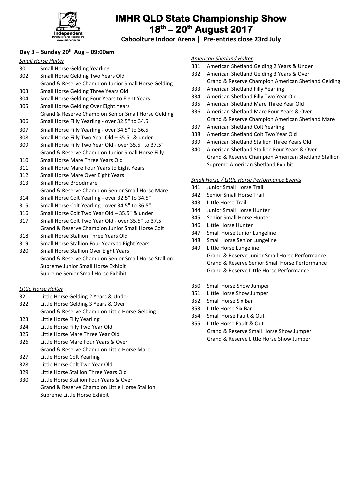

**Caboolture Indoor Arena | Pre-entries close 23rd July**

# **Day 3 – Sunday 20th Aug – 09:00am**

#### *Small Horse Halter*

- Small Horse Gelding Yearling
- Small Horse Gelding Two Years Old
- Grand & Reserve Champion Junior Small Horse Gelding
- Small Horse Gelding Three Years Old
- Small Horse Gelding Four Years to Eight Years
- Small Horse Gelding Over Eight Years
- Grand & Reserve Champion Senior Small Horse Gelding
- Small Horse Filly Yearling over 32.5" to 34.5"
- Small Horse Filly Yearling over 34.5" to 36.5"
- Small Horse Filly Two Year Old 35.5" & under Small Horse Filly Two Year Old - over 35.5" to 37.5"
- Grand & Reserve Champion Junior Small Horse Filly
- Small Horse Mare Three Years Old
- Small Horse Mare Four Years to Eight Years
- Small Horse Mare Over Eight Years
- Small Horse Broodmare Grand & Reserve Champion Senior Small Horse Mare
- Small Horse Colt Yearling over 32.5" to 34.5"
- Small Horse Colt Yearling over 34.5" to 36.5"
- Small Horse Colt Two Year Old 35.5" & under
- Small Horse Colt Two Year Old over 35.5" to 37.5" Grand & Reserve Champion Junior Small Horse Colt
- Small Horse Stallion Three Years Old
- Small Horse Stallion Four Years to Eight Years
- Small Horse Stallion Over Eight Years Grand & Reserve Champion Senior Small Horse Stallion Supreme Junior Small Horse Exhibit Supreme Senior Small Horse Exhibit

# *Little Horse Halter*

- Little Horse Gelding 2 Years & Under
- Little Horse Gelding 3 Years & Over
- Grand & Reserve Champion Little Horse Gelding
- Little Horse Filly Yearling
- Little Horse Filly Two Year Old
- Little Horse Mare Three Year Old
- Little Horse Mare Four Years & Over Grand & Reserve Champion Little Horse Mare
- Little Horse Colt Yearling
- Little Horse Colt Two Year Old
- Little Horse Stallion Three Years Old

Supreme Little Horse Exhibit

 Little Horse Stallion Four Years & Over Grand & Reserve Champion Little Horse Stallion

- *American Shetland Halter*
- American Shetland Gelding 2 Years & Under
- American Shetland Gelding 3 Years & Over Grand & Reserve Champion American Shetland Gelding
- American Shetland Filly Yearling
- American Shetland Filly Two Year Old
- American Shetland Mare Three Year Old
- American Shetland Mare Four Years & Over Grand & Reserve Champion American Shetland Mare
- American Shetland Colt Yearling
- American Shetland Colt Two Year Old
- American Shetland Stallion Three Years Old
- American Shetland Stallion Four Years & Over Grand & Reserve Champion American Shetland Stallion Supreme American Shetland Exhibit

## *Small Horse / Little Horse Performance Events*

- Junior Small Horse Trail
- Senior Small Horse Trail
- Little Horse Trail
- Junior Small Horse Hunter
- Senior Small Horse Hunter
- Little Horse Hunter
- Small Horse Junior Lungeline
- Small Horse Senior Lungeline
- Little Horse Lungeline Grand & Reserve Junior Small Horse Performance Grand & Reserve Senior Small Horse Performance Grand & Reserve Little Horse Performance
- Small Horse Show Jumper
- Little Horse Show Jumper
- Small Horse Six Bar
- Little Horse Six Bar
- Small Horse Fault & Out
- Little Horse Fault & Out Grand & Reserve Small Horse Show Jumper Grand & Reserve Little Horse Show Jumper